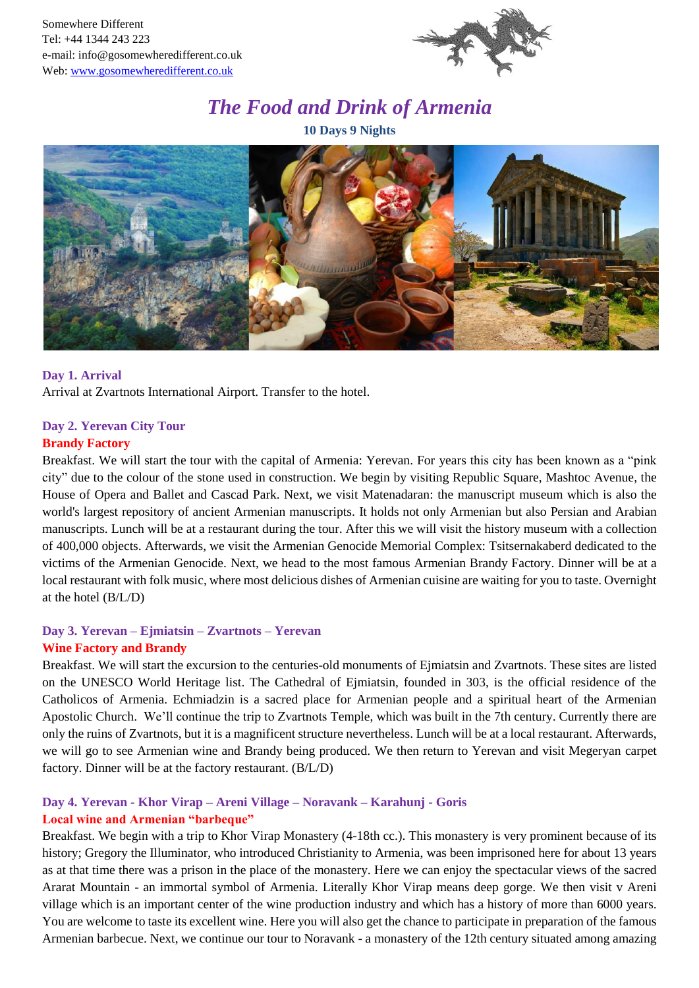

# *The Food and Drink of Armenia*

**10 Days 9 Nights**



#### **Day 1. Arrival**

Arrival at Zvartnots International Airport. Transfer to the hotel.

# **Day 2. Yerevan City Tour**

# **Brandy Factory**

Breakfast. We will start the tour with the capital of Armenia: Yerevan. For years this city has been known as a "pink city" due to the colour of the stone used in construction. We begin by visiting Republic Square, Mashtoc Avenue, the House of Opera and Ballet and Cascad Park. Next, we visit Matenadaran: the manuscript museum which is also the world's largest repository of ancient Armenian manuscripts*.* It holds not only Armenian but also Persian and Arabian manuscripts. Lunch will be at a restaurant during the tour. After this we will visit the history museum with a collection of 400,000 objects. Afterwards, we visit the Armenian Genocide Memorial Complex: Tsitsernakaberd dedicated to the victims of the Armenian Genocide. Next, we head to the most famous Armenian Brandy Factory. Dinner will be at a local restaurant with folk music, where most delicious dishes of Armenian cuisine are waiting for you to taste. Overnight at the hotel (B/L/D)

#### **Day 3. Yerevan – Ejmiatsin – Zvartnots – Yerevan Wine Factory and Brandy**

Breakfast. We will start the excursion to the centuries-old monuments of Ejmiatsin and Zvartnots. These sites are listed on the UNESCO World Heritage list. The Cathedral of Ejmiatsin, founded in 303, is the official residence of the Catholicos of Armenia. Echmiadzin is a sacred place for Armenian people and a spiritual heart of the Armenian Apostolic Church. We'll continue the trip to Zvartnots Temple, which was built in the 7th century. Currently there are only the ruins of Zvartnots, but it is a magnificent structure nevertheless. Lunch will be at a local restaurant. Afterwards, we will go to see Armenian wine and Brandy being produced. We then return to Yerevan and visit Megeryan carpet factory. Dinner will be at the factory restaurant. (B/L/D)

# **Day 4. Yerevan - Khor Virap – Areni Village – Noravank – Karahunj - Goris**

## **Local wine and Armenian "barbeque"**

Breakfast. We begin with a trip to Khor Virap Monastery (4-18th cc.). This monastery is very prominent because of its history; Gregory the Illuminator, who introduced Christianity to Armenia, was been imprisoned here for about 13 years as at that time there was a prison in the place of the monastery. Here we can enjoy the spectacular views of the sacred Ararat Mountain - an immortal symbol of Armenia. Literally Khor Virap means deep gorge. We then visit v Areni village which is an important center of the wine production industry and which has a history of more than 6000 years. You are welcome to taste its excellent wine. Here you will also get the chance to participate in preparation of the famous Armenian barbecue. Next, we continue our tour to Noravank - a monastery of the 12th century situated among amazing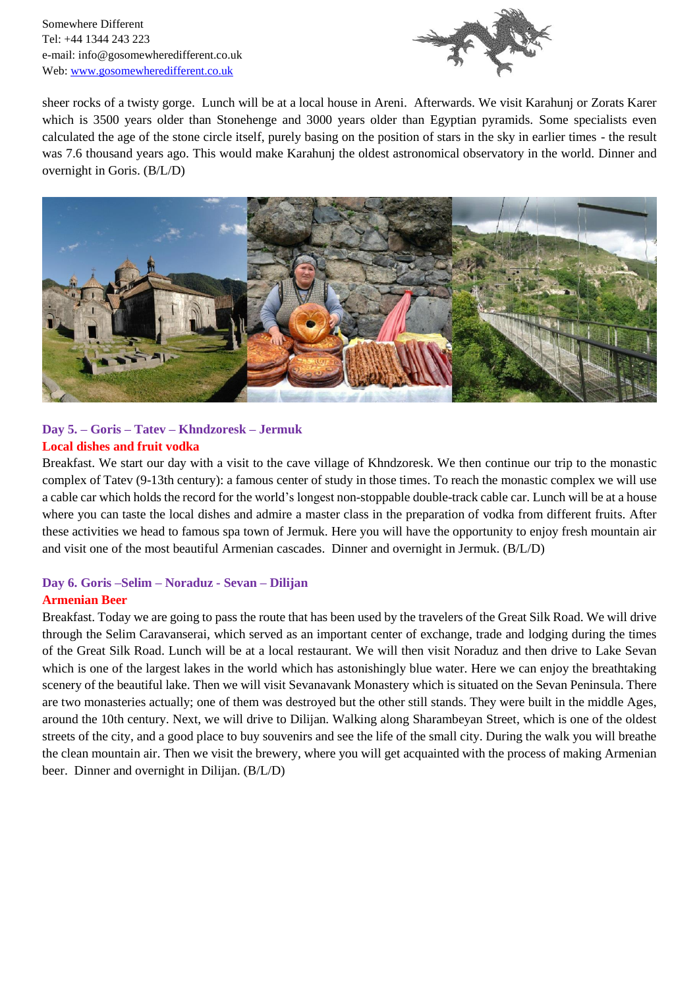Somewhere Different Tel: +44 1344 243 223 e-mail: info@gosomewheredifferent.co.uk Web: [www.gosomewheredifferent.co.uk](http://www.gosomewheredifferent.co.uk/)



sheer rocks of a twisty gorge. Lunch will be at a local house in Areni. Afterwards. We visit Karahunj or Zorats Karer which is 3500 years older than Stonehenge and 3000 years older than Egyptian pyramids. Some specialists even calculated the age of the stone circle itself, purely basing on the position of stars in the sky in earlier times - the result was 7.6 thousand years ago. This would make Karahunj the oldest astronomical observatory in the world. Dinner and overnight in Goris. (B/L/D)



## **Day 5. – Goris – Tatev – Khndzoresk – Jermuk Local dishes and fruit vodka**

Breakfast. We start our day with a visit to the cave village of Khndzoresk. We then continue our trip to the monastic complex of Tatev (9-13th century): a famous center of study in those times. To reach the monastic complex we will use a cable car which holds the record for the world's longest non-stoppable double-track cable car. Lunch will be at a house where you can taste the local dishes and admire a master class in the preparation of vodka from different fruits. After these activities we head to famous spa town of Jermuk. Here you will have the opportunity to enjoy fresh mountain air and visit one of the most beautiful Armenian cascades. Dinner and overnight in Jermuk. (B/L/D)

# **Day 6. Goris –Selim – Noraduz - Sevan – Dilijan**

## **Armenian Beer**

Breakfast. Today we are going to pass the route that has been used by the travelers of the Great Silk Road. We will drive through the Selim Caravanserai, which served as an important center of exchange, trade and lodging during the times of the Great Silk Road. Lunch will be at a local restaurant. We will then visit Noraduz and then drive to Lake Sevan which is one of the largest lakes in the world which has astonishingly blue water. Here we can enjoy the breathtaking scenery of the beautiful lake. Then we will visit Sevanavank Monastery which is situated on the Sevan Peninsula. There are two monasteries actually; one of them was destroyed but the other still stands. They were built in the middle Ages, around the 10th century. Next, we will drive to Dilijan. Walking along Sharambeyan Street, which is one of the oldest streets of the city, and a good place to buy souvenirs and see the life of the small city. During the walk you will breathe the clean mountain air. Then we visit the brewery, where you will get acquainted with the process of making Armenian beer. Dinner and overnight in Dilijan. (B/L/D)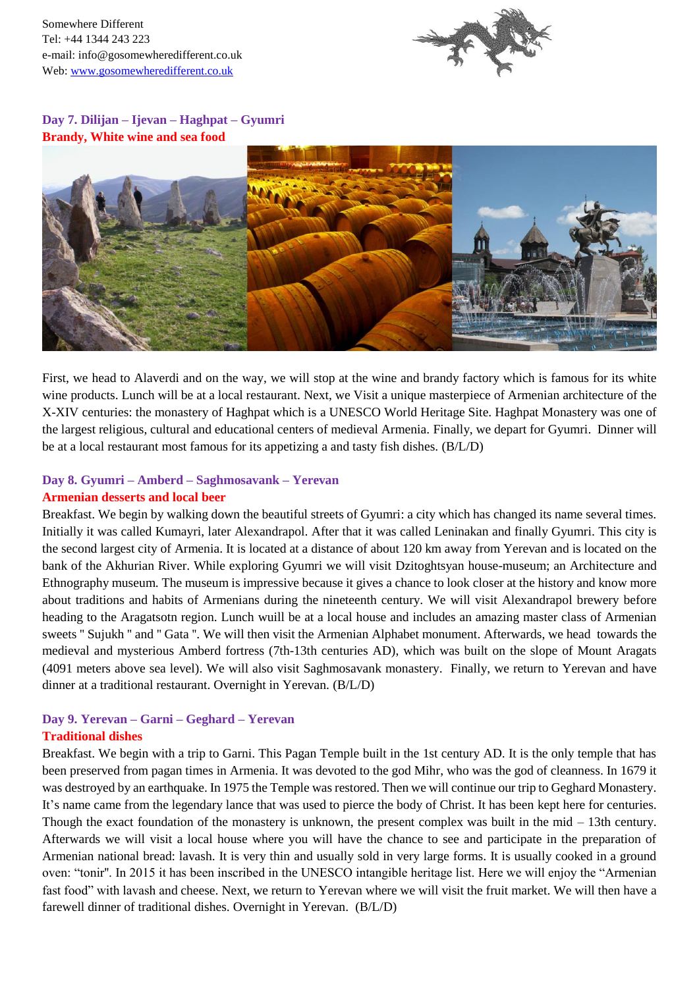Somewhere Different Tel: +44 1344 243 223 e-mail: info@gosomewheredifferent.co.uk Web: [www.gosomewheredifferent.co.uk](http://www.gosomewheredifferent.co.uk/)



**Day 7. Dilijan – Ijevan – Haghpat – Gyumri Brandy, White wine and sea food**



First, we head to Alaverdi and on the way, we will stop at the wine and brandy factory which is famous for its white wine products. Lunch will be at a local restaurant. Next, we Visit a unique masterpiece of Armenian architecture of the X-XIV centuries: the monastery of Haghpat which is a UNESCO World Heritage Site. Haghpat Monastery was one of the largest religious, cultural and educational centers of medieval Armenia. Finally, we depart for Gyumri. Dinner will be at a local restaurant most famous for its appetizing a and tasty fish dishes. (B/L/D)

#### **Day 8. Gyumri – Amberd – Saghmosavank – Yerevan Armenian desserts and local beer**

Breakfast. We begin by walking down the beautiful streets of Gyumri: a city which has changed its name several times. Initially it was called Kumayri, later Alexandrapol. After that it was called Leninakan and finally Gyumri. This city is the second largest city of Armenia. It is located at a distance of about 120 km away from Yerevan and is located on the bank of the Akhurian River. While exploring Gyumri we will visit Dzitoghtsyan house-museum; an Architecture and Ethnography museum. The museum is impressive because it gives a chance to look closer at the history and know more about traditions and habits of Armenians during the nineteenth century. We will visit Alexandrapol brewery before heading to the Aragatsotn region. Lunch wuill be at a local house and includes an amazing master class of Armenian sweets '' Sujukh '' and '' Gata ''. We will then visit the Armenian Alphabet monument. Afterwards, we head towards the medieval and mysterious Amberd fortress (7th-13th centuries AD), which was built on the slope of Mount Aragats (4091 meters above sea level). We will also visit Saghmosavank monastery. Finally, we return to Yerevan and have dinner at a traditional restaurant. Overnight in Yerevan. (B/L/D)

## **Day 9. Yerevan – Garni – Geghard – Yerevan Traditional dishes**

Breakfast. We begin with a trip to Garni. This Pagan Temple built in the 1st century AD. It is the only temple that has been preserved from pagan times in Armenia. It was devoted to the god Mihr, who was the god of cleanness. In 1679 it was destroyed by an earthquake. In 1975 the Temple was restored. Then we will continue our trip to Geghard Monastery. It's name came from the legendary lance that was used to pierce the body of Christ. It has been kept here for centuries. Though the exact foundation of the monastery is unknown, the present complex was built in the mid  $-13$ th century. Afterwards we will visit a local house where you will have the chance to see and participate in the preparation of Armenian national bread: lavash. It is very thin and usually sold in very large forms. It is usually cooked in a ground oven: "tonir''. In 2015 it has been inscribed in the UNESCO intangible heritage list. Here we will enjoy the "Armenian fast food" with lavash and cheese. Next, we return to Yerevan where we will visit the fruit market. We will then have a farewell dinner of traditional dishes. Overnight in Yerevan. (B/L/D)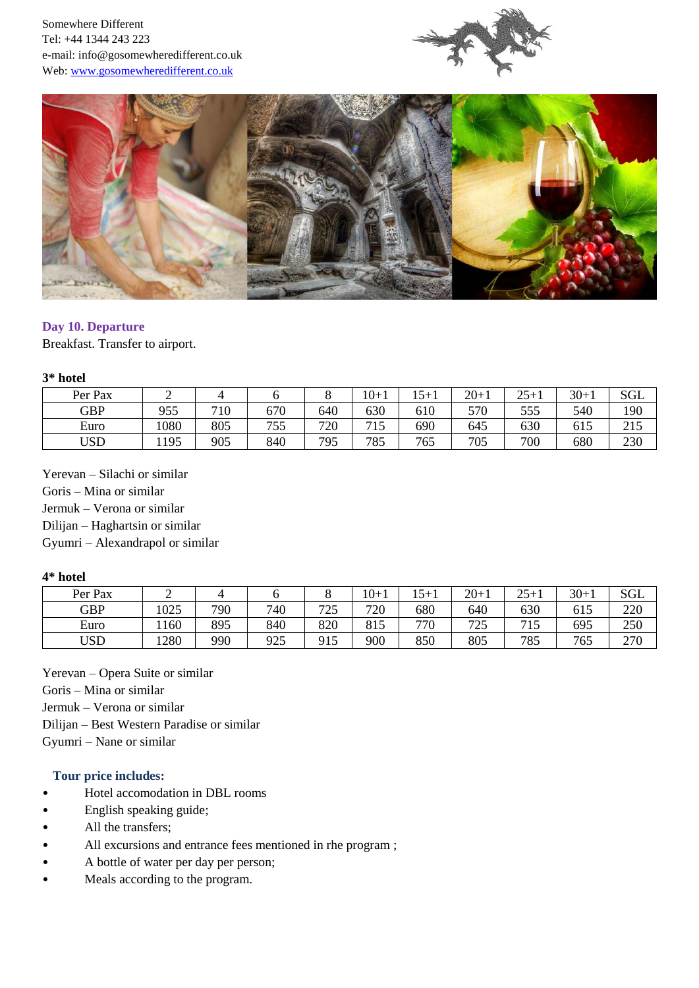



#### **Day 10. Departure**

Breakfast. Transfer to airport.

#### **3\* hotel**

| Per Pax    | ∽   |     |            |     | $10 + 1$     | $15 + 1$ | $20 + 1$ | $25+1$ | $30 + 1$ | <b>SGL</b> |
|------------|-----|-----|------------|-----|--------------|----------|----------|--------|----------|------------|
| <b>GBP</b> | 955 | 710 | 670        | 640 | 630          | 610      | 570      | 555    | 540      | 190        |
| Euro       | 080 | 805 | 755<br>נגו | 720 | 715<br>- 1.J | 690      | 645      | 630    | 615      | 215        |
| USD        | 195 | 905 | 840        | 795 | 785          | 765      | 705      | 700    | 680      | 230        |

Yerevan – Silachi or similar Goris – Mina or similar Jermuk – Verona or similar Dilijan – Haghartsin or similar Gyumri – Alexandrapol or similar

#### **4\* hotel**

| Per Pax    | ∽    |     |     |           | $10+1$ | 15+1 | $20+$ | $25 -$<br>໋ | $30+1$ | SGL |
|------------|------|-----|-----|-----------|--------|------|-------|-------------|--------|-----|
| <b>GBP</b> | 025  | 790 | 740 | ワつく<br>ت  | 720    | 680  | 640   | 630         | 615    | 220 |
| Euro       | 160  | 895 | 840 | 820       | 815    | 770  | 725   | IJ          | 695    | 250 |
| USD        | 1280 | 990 | 925 | Q15<br>⊥J | 900    | 850  | 805   | 785         | 765    | 270 |

Yerevan – Opera Suite or similar Goris – Mina or similar Jermuk – Verona or similar Dilijan – Best Western Paradise or similar Gyumri – Nane or similar

#### **Tour price includes:**

- Hotel accomodation in DBL rooms
- English speaking guide;
- All the transfers;
- All excursions and entrance fees mentioned in rhe program;
- A bottle of water per day per person;
- Meals according to the program.